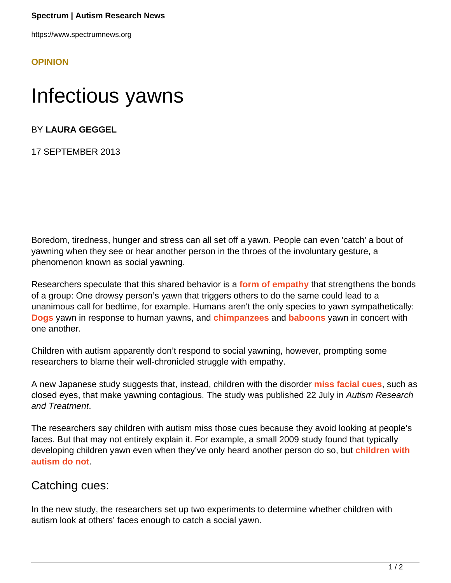https://www.spectrumnews.org

## **[OPINION](HTTPS://WWW.SPECTRUMNEWS.ORG/OPINION/)**

## Infectious yawns

BY **LAURA GEGGEL**

17 SEPTEMBER 2013

Boredom, tiredness, hunger and stress can all set off a yawn. People can even 'catch' a bout of yawning when they see or hear another person in the throes of the involuntary gesture, a phenomenon known as social yawning.

Researchers speculate that this shared behavior is a **[form of empathy](http://jnnp.bmj.com/content/21/3/203.full.pdf+html)** that strengthens the bonds of a group: One drowsy person's yawn that triggers others to do the same could lead to a unanimous call for bedtime, for example. Humans aren't the only species to yawn sympathetically: **[Dogs](http://ncbi.nlm.nih.gov/pubmed/18682357)** yawn in response to human yawns, and **[chimpanzees](http://ncbi.nlm.nih.gov/pubmed/15801606)** and **[baboons](http://ncbi.nlm.nih.gov/pubmed/19889980)** yawn in concert with one another.

Children with autism apparently don't respond to social yawning, however, prompting some researchers to blame their well-chronicled struggle with empathy.

A new Japanese study suggests that, instead, children with the disorder **[miss facial cues](http://ncbi.nlm.nih.gov/pubmed/23970970)**, such as closed eyes, that make yawning contagious. The study was published 22 July in Autism Research and Treatment.

The researchers say children with autism miss those cues because they avoid looking at people's faces. But that may not entirely explain it. For example, a small 2009 study found that typically developing children yawn even when they've only heard another person do so, but **[children with](http://cpl.revues.org/4810) [autism do not](http://cpl.revues.org/4810)**.

## Catching cues:

In the new study, the researchers set up two experiments to determine whether children with autism look at others' faces enough to catch a social yawn.